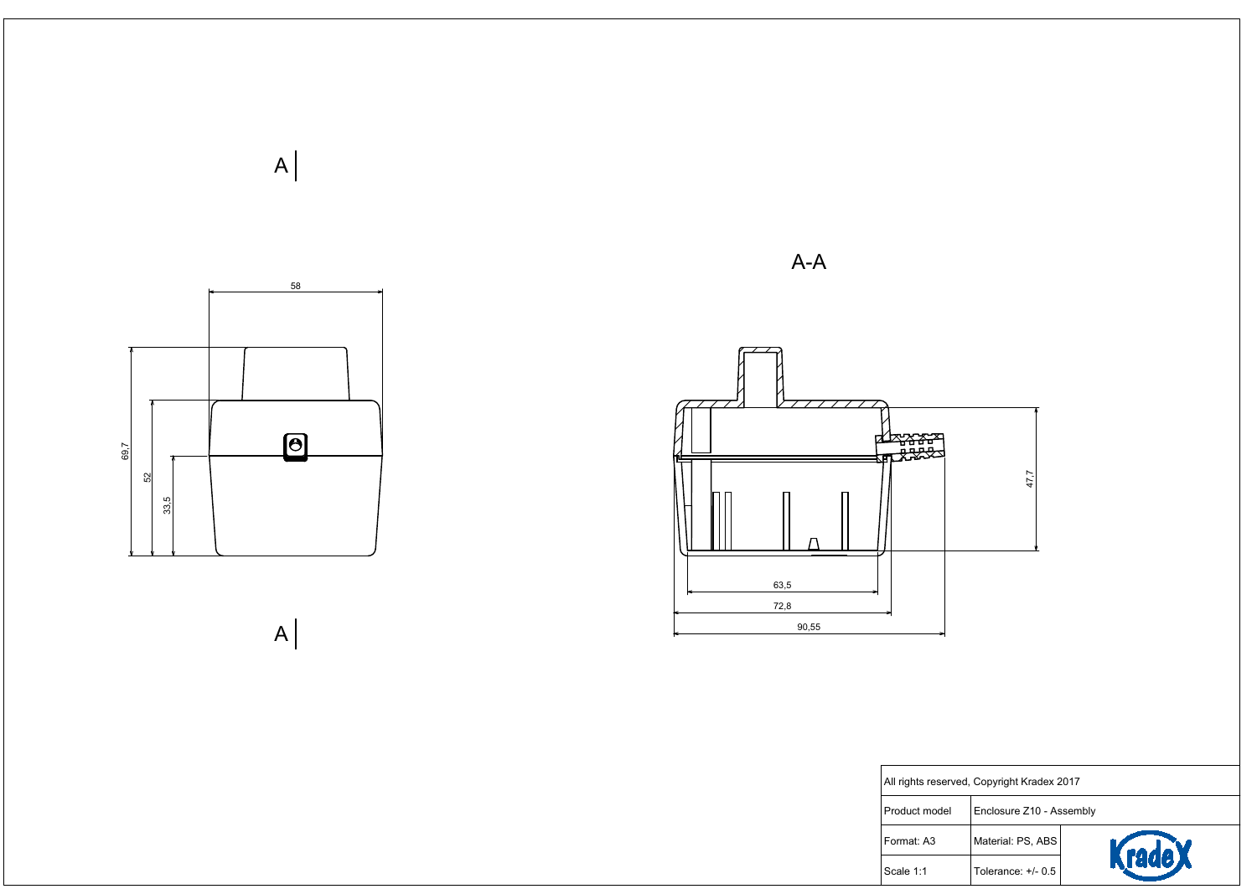



|  |  | 47,7 |
|--|--|------|
|  |  |      |
|  |  |      |
|  |  |      |

| rved, Copyright Kradex 2017 |                          |               |  |  |
|-----------------------------|--------------------------|---------------|--|--|
|                             | Enclosure Z10 - Assembly |               |  |  |
|                             | Material: PS, ABS        |               |  |  |
|                             | Tolerance: $+/- 0.5$     | <b>rade X</b> |  |  |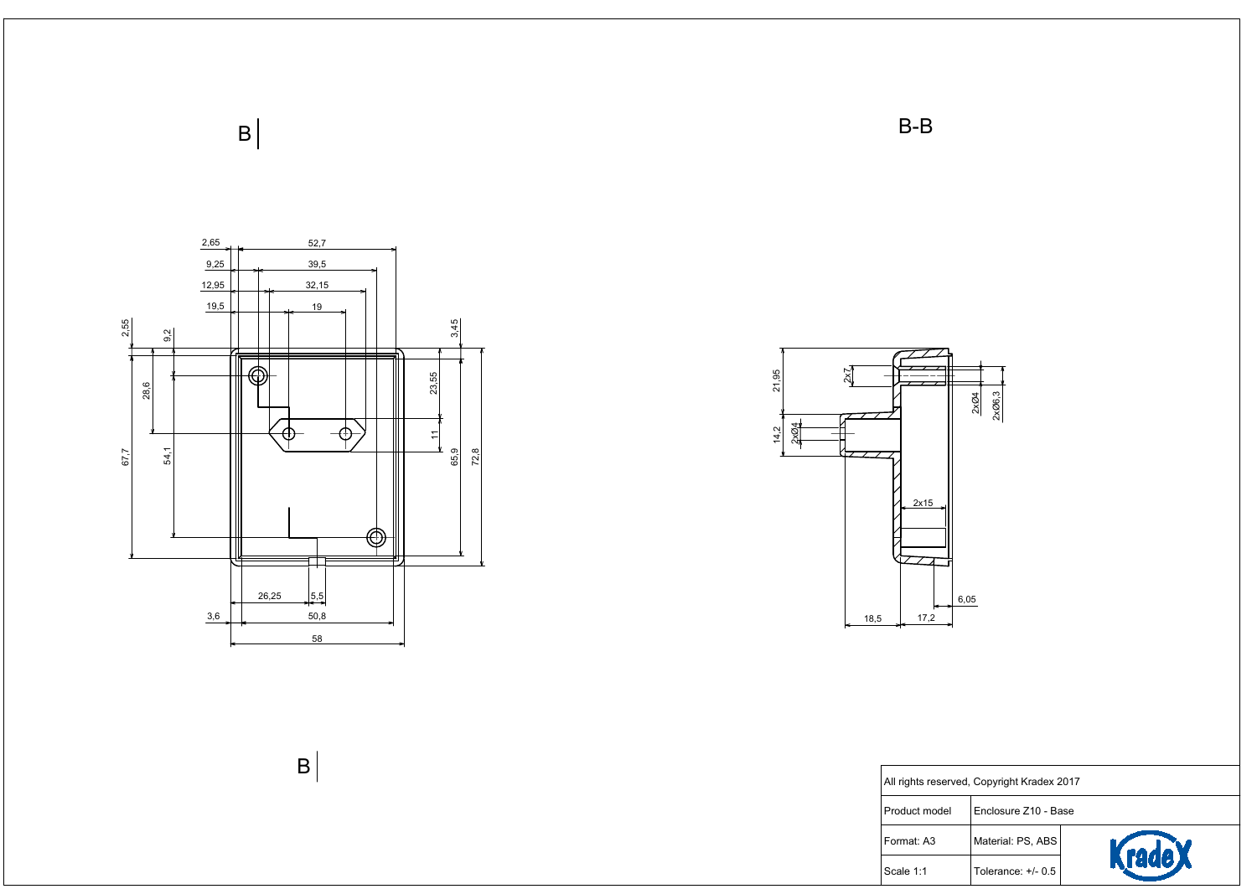



| rved, Copyright Kradex 2017 |                      |               |  |  |
|-----------------------------|----------------------|---------------|--|--|
|                             | Enclosure Z10 - Base |               |  |  |
|                             | Material: PS, ABS    |               |  |  |
|                             | Tolerance: $+/- 0.5$ | <b>rade X</b> |  |  |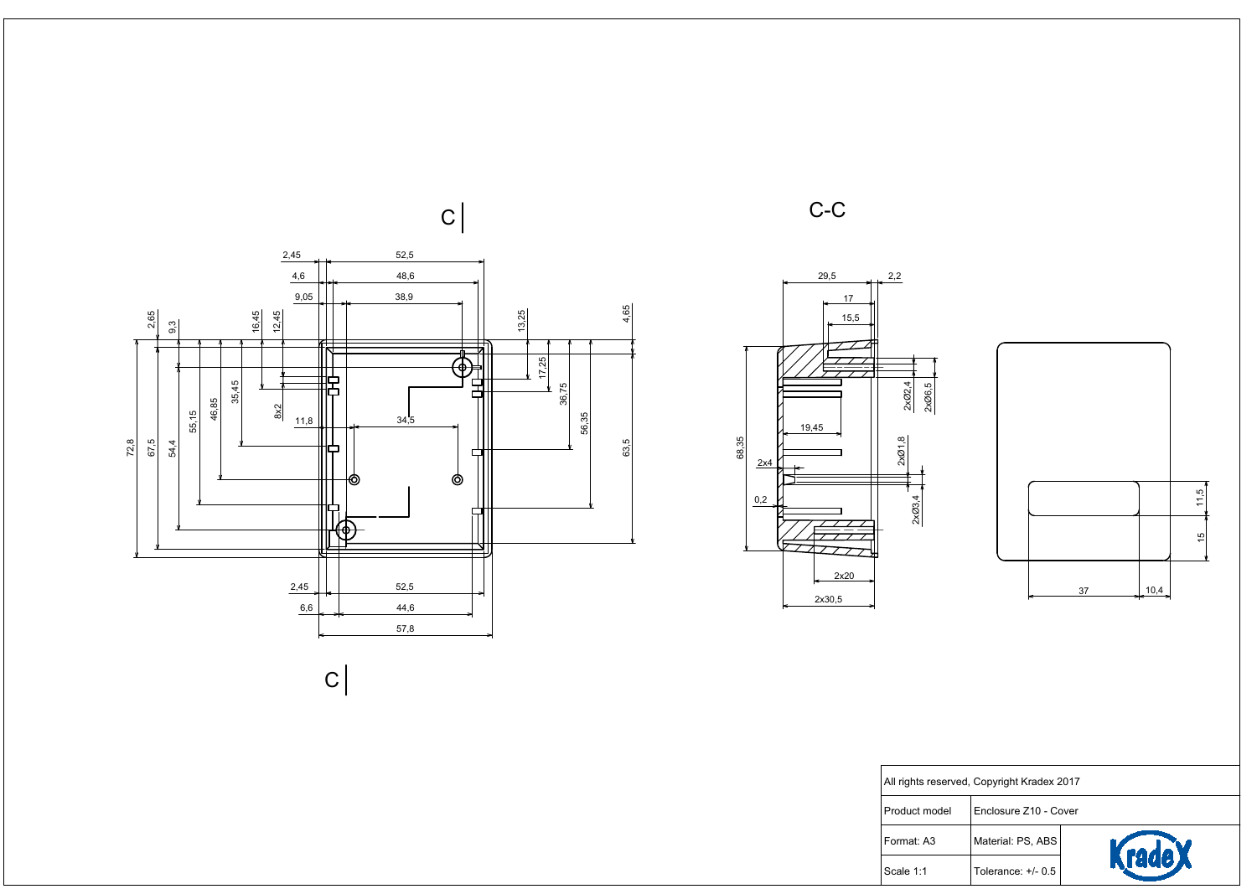







| ved, Copyright Kradex 2017 |                       |                |  |
|----------------------------|-----------------------|----------------|--|
|                            | Enclosure Z10 - Cover |                |  |
|                            | Material: PS, ABS     | <b>Krade</b> X |  |
|                            | Tolerance: $+/- 0.5$  |                |  |